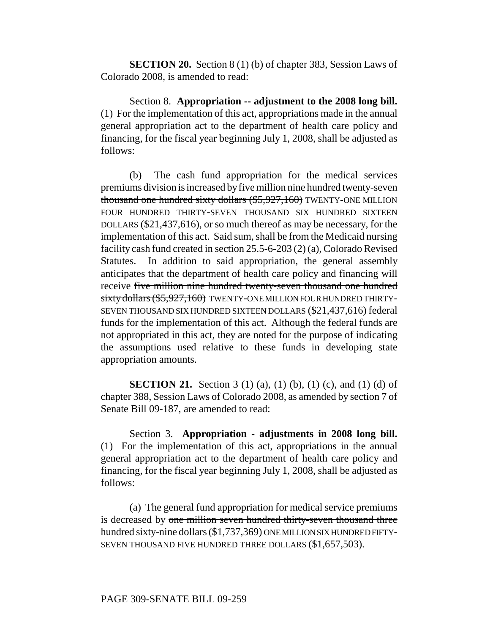**SECTION 20.** Section 8 (1) (b) of chapter 383, Session Laws of Colorado 2008, is amended to read:

Section 8. **Appropriation -- adjustment to the 2008 long bill.** (1) For the implementation of this act, appropriations made in the annual general appropriation act to the department of health care policy and financing, for the fiscal year beginning July 1, 2008, shall be adjusted as follows:

(b) The cash fund appropriation for the medical services premiums division is increased by five million nine hundred twenty-seven thousand one hundred sixty dollars (\$5,927,160) TWENTY-ONE MILLION FOUR HUNDRED THIRTY-SEVEN THOUSAND SIX HUNDRED SIXTEEN DOLLARS (\$21,437,616), or so much thereof as may be necessary, for the implementation of this act. Said sum, shall be from the Medicaid nursing facility cash fund created in section 25.5-6-203 (2) (a), Colorado Revised Statutes. In addition to said appropriation, the general assembly anticipates that the department of health care policy and financing will receive five million nine hundred twenty-seven thousand one hundred sixty dollars (\$5,927,160) TWENTY-ONE MILLION FOUR HUNDRED THIRTY-SEVEN THOUSAND SIX HUNDRED SIXTEEN DOLLARS (\$21,437,616) federal funds for the implementation of this act. Although the federal funds are not appropriated in this act, they are noted for the purpose of indicating the assumptions used relative to these funds in developing state appropriation amounts.

**SECTION 21.** Section 3 (1) (a), (1) (b), (1) (c), and (1) (d) of chapter 388, Session Laws of Colorado 2008, as amended by section 7 of Senate Bill 09-187, are amended to read:

Section 3. **Appropriation - adjustments in 2008 long bill.** (1) For the implementation of this act, appropriations in the annual general appropriation act to the department of health care policy and financing, for the fiscal year beginning July 1, 2008, shall be adjusted as follows:

(a) The general fund appropriation for medical service premiums is decreased by one million seven hundred thirty-seven thousand three hundred sixty-nine dollars (\$1,737,369) ONE MILLION SIX HUNDRED FIFTY-SEVEN THOUSAND FIVE HUNDRED THREE DOLLARS (\$1,657,503).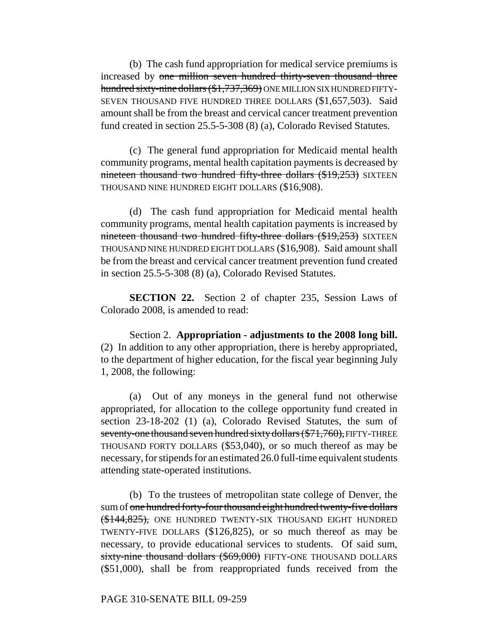(b) The cash fund appropriation for medical service premiums is increased by one million seven hundred thirty-seven thousand three hundred sixty-nine dollars (\$1,737,369) ONE MILLION SIX HUNDRED FIFTY-SEVEN THOUSAND FIVE HUNDRED THREE DOLLARS (\$1,657,503). Said amount shall be from the breast and cervical cancer treatment prevention fund created in section 25.5-5-308 (8) (a), Colorado Revised Statutes.

(c) The general fund appropriation for Medicaid mental health community programs, mental health capitation payments is decreased by nineteen thousand two hundred fifty-three dollars (\$19,253) SIXTEEN THOUSAND NINE HUNDRED EIGHT DOLLARS (\$16,908).

(d) The cash fund appropriation for Medicaid mental health community programs, mental health capitation payments is increased by nineteen thousand two hundred fifty-three dollars (\$19,253) SIXTEEN THOUSAND NINE HUNDRED EIGHT DOLLARS (\$16,908). Said amount shall be from the breast and cervical cancer treatment prevention fund created in section 25.5-5-308 (8) (a), Colorado Revised Statutes.

**SECTION 22.** Section 2 of chapter 235, Session Laws of Colorado 2008, is amended to read:

Section 2. **Appropriation - adjustments to the 2008 long bill.** (2) In addition to any other appropriation, there is hereby appropriated, to the department of higher education, for the fiscal year beginning July 1, 2008, the following:

(a) Out of any moneys in the general fund not otherwise appropriated, for allocation to the college opportunity fund created in section 23-18-202 (1) (a), Colorado Revised Statutes, the sum of seventy-one thousand seven hundred sixty dollars (\$71,760), FIFTY-THREE THOUSAND FORTY DOLLARS (\$53,040), or so much thereof as may be necessary, for stipends for an estimated 26.0 full-time equivalent students attending state-operated institutions.

(b) To the trustees of metropolitan state college of Denver, the sum of one hundred forty-four thousand eight hundred twenty-five dollars (\$144,825), ONE HUNDRED TWENTY-SIX THOUSAND EIGHT HUNDRED TWENTY-FIVE DOLLARS (\$126,825), or so much thereof as may be necessary, to provide educational services to students. Of said sum, sixty-nine thousand dollars (\$69,000) FIFTY-ONE THOUSAND DOLLARS (\$51,000), shall be from reappropriated funds received from the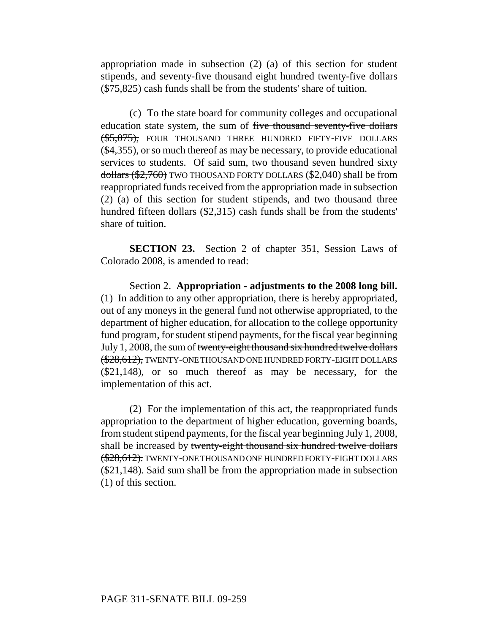appropriation made in subsection (2) (a) of this section for student stipends, and seventy-five thousand eight hundred twenty-five dollars (\$75,825) cash funds shall be from the students' share of tuition.

(c) To the state board for community colleges and occupational education state system, the sum of five thousand seventy-five dollars (\$5,075), FOUR THOUSAND THREE HUNDRED FIFTY-FIVE DOLLARS (\$4,355), or so much thereof as may be necessary, to provide educational services to students. Of said sum, two thousand seven hundred sixty dollars (\$2,760) TWO THOUSAND FORTY DOLLARS (\$2,040) shall be from reappropriated funds received from the appropriation made in subsection (2) (a) of this section for student stipends, and two thousand three hundred fifteen dollars (\$2,315) cash funds shall be from the students' share of tuition.

**SECTION 23.** Section 2 of chapter 351, Session Laws of Colorado 2008, is amended to read:

Section 2. **Appropriation - adjustments to the 2008 long bill.** (1) In addition to any other appropriation, there is hereby appropriated, out of any moneys in the general fund not otherwise appropriated, to the department of higher education, for allocation to the college opportunity fund program, for student stipend payments, for the fiscal year beginning July 1, 2008, the sum of twenty-eight thousand six hundred twelve dollars (\$28,612), TWENTY-ONE THOUSAND ONE HUNDRED FORTY-EIGHT DOLLARS (\$21,148), or so much thereof as may be necessary, for the implementation of this act.

(2) For the implementation of this act, the reappropriated funds appropriation to the department of higher education, governing boards, from student stipend payments, for the fiscal year beginning July 1, 2008, shall be increased by twenty-eight thousand six hundred twelve dollars (\$28,612). TWENTY-ONE THOUSAND ONE HUNDRED FORTY-EIGHT DOLLARS (\$21,148). Said sum shall be from the appropriation made in subsection (1) of this section.